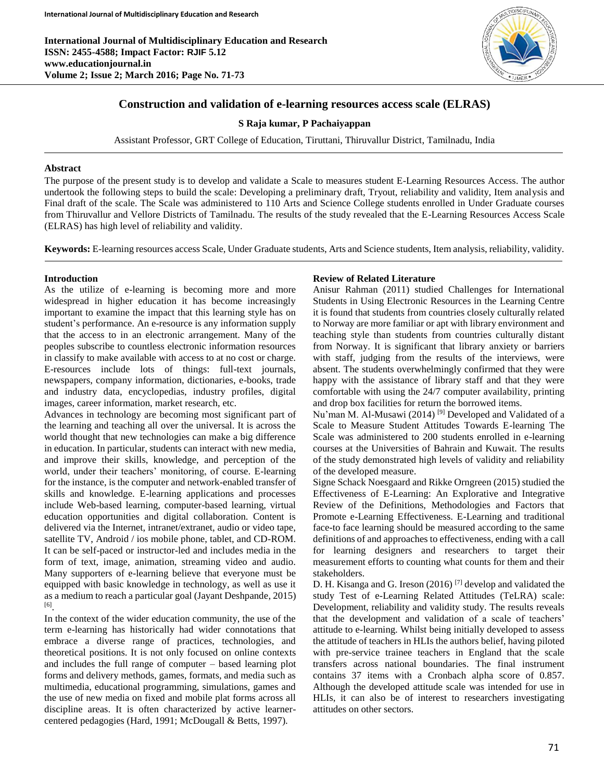**International Journal of Multidisciplinary Education and Research ISSN: 2455-4588; Impact Factor: RJIF 5.12 www.educationjournal.in Volume 2; Issue 2; March 2016; Page No. 71-73**



# **Construction and validation of e-learning resources access scale (ELRAS)**

## **S Raja kumar, P Pachaiyappan**

Assistant Professor, GRT College of Education, Tiruttani, Thiruvallur District, Tamilnadu, India

## **Abstract**

The purpose of the present study is to develop and validate a Scale to measures student E-Learning Resources Access. The author undertook the following steps to build the scale: Developing a preliminary draft, Tryout, reliability and validity, Item analysis and Final draft of the scale. The Scale was administered to 110 Arts and Science College students enrolled in Under Graduate courses from Thiruvallur and Vellore Districts of Tamilnadu. The results of the study revealed that the E-Learning Resources Access Scale (ELRAS) has high level of reliability and validity.

**Keywords:** E-learning resources access Scale, Under Graduate students, Arts and Science students, Item analysis, reliability, validity.

## **Introduction**

As the utilize of e-learning is becoming more and more widespread in higher education it has become increasingly important to examine the impact that this learning style has on student's performance. An e-resource is any information supply that the access to in an electronic arrangement. Many of the peoples subscribe to countless electronic information resources in classify to make available with access to at no cost or charge. E-resources include lots of things: full-text journals, newspapers, company information, dictionaries, e-books, trade and industry data, encyclopedias, industry profiles, digital images, career information, market research, etc.

Advances in technology are becoming most significant part of the learning and teaching all over the universal. It is across the world thought that new technologies can make a big difference in education. In particular, students can interact with new media, and improve their skills, knowledge, and perception of the world, under their teachers' monitoring, of course. E-learning for the instance, is the computer and network-enabled transfer of skills and knowledge. E-learning applications and processes include Web-based learning, computer-based learning, virtual education opportunities and digital collaboration. Content is delivered via the Internet, intranet/extranet, audio or video tape, satellite TV, Android / ios mobile phone, tablet, and CD-ROM. It can be self-paced or instructor-led and includes media in the form of text, image, animation, streaming video and audio. Many supporters of e-learning believe that everyone must be equipped with basic knowledge in technology, as well as use it as a medium to reach a particular goal (Jayant Deshpande, 2015) [6] .

In the context of the wider education community, the use of the term e-learning has historically had wider connotations that embrace a diverse range of practices, technologies, and theoretical positions. It is not only focused on online contexts and includes the full range of computer – based learning plot forms and delivery methods, games, formats, and media such as multimedia, educational programming, simulations, games and the use of new media on fixed and mobile plat forms across all discipline areas. It is often characterized by active learnercentered pedagogies (Hard, 1991; McDougall & Betts, 1997).

## **Review of Related Literature**

Anisur Rahman (2011) studied Challenges for International Students in Using Electronic Resources in the Learning Centre it is found that students from countries closely culturally related to Norway are more familiar or apt with library environment and teaching style than students from countries culturally distant from Norway. It is significant that library anxiety or barriers with staff, judging from the results of the interviews, were absent. The students overwhelmingly confirmed that they were happy with the assistance of library staff and that they were comfortable with using the 24/7 computer availability, printing and drop box facilities for return the borrowed items.

Nu'man M. Al-Musawi (2014)<sup>[9]</sup> Developed and Validated of a Scale to Measure Student Attitudes Towards E-learning The Scale was administered to 200 students enrolled in e-learning courses at the Universities of Bahrain and Kuwait. The results of the study demonstrated high levels of validity and reliability of the developed measure.

Signe Schack Noesgaard and Rikke Orngreen (2015) studied the Effectiveness of E-Learning: An Explorative and Integrative Review of the Definitions, Methodologies and Factors that Promote e-Learning Effectiveness. E-Learning and traditional face-to face learning should be measured according to the same definitions of and approaches to effectiveness, ending with a call for learning designers and researchers to target their measurement efforts to counting what counts for them and their stakeholders.

D. H. Kisanga and G. Ireson (2016) [7] develop and validated the study Test of e-Learning Related Attitudes (TeLRA) scale: Development, reliability and validity study. The results reveals that the development and validation of a scale of teachers' attitude to e-learning. Whilst being initially developed to assess the attitude of teachers in HLIs the authors belief, having piloted with pre-service trainee teachers in England that the scale transfers across national boundaries. The final instrument contains 37 items with a Cronbach alpha score of 0.857. Although the developed attitude scale was intended for use in HLIs, it can also be of interest to researchers investigating attitudes on other sectors.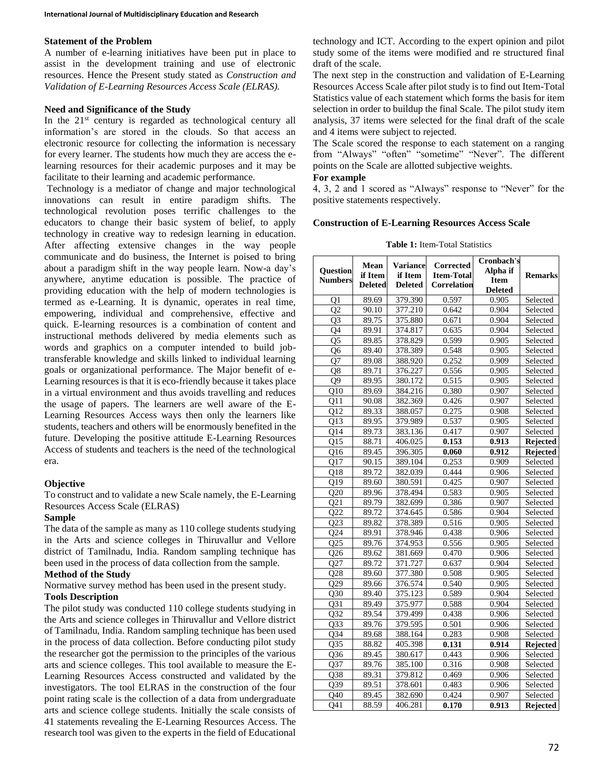#### **Statement of the Problem**

A number of e-learning initiatives have been put in place to assist in the development training and use of electronic resources. Hence the Present study stated as *Construction and Validation of E-Learning Resources Access Scale (ELRAS).*

## **Need and Significance of the Study**

In the  $21<sup>st</sup>$  century is regarded as technological century all information's are stored in the clouds. So that access an electronic resource for collecting the information is necessary for every learner. The students how much they are access the elearning resources for their academic purposes and it may be facilitate to their learning and academic performance.

Technology is a mediator of change and major technological innovations can result in entire paradigm shifts. The technological revolution poses terrific challenges to the educators to change their basic system of belief, to apply technology in creative way to redesign learning in education. After affecting extensive changes in the way people communicate and do business, the Internet is poised to bring about a paradigm shift in the way people learn. Now-a day's anywhere, anytime education is possible. The practice of providing education with the help of modern technologies is termed as e-Learning. It is dynamic, operates in real time, empowering, individual and comprehensive, effective and quick. E-learning resources is a combination of content and instructional methods delivered by media elements such as words and graphics on a computer intended to build jobtransferable knowledge and skills linked to individual learning goals or organizational performance. The Major benefit of e-Learning resources is that it is eco-friendly because it takes place in a virtual environment and thus avoids travelling and reduces the usage of papers. The learners are well aware of the E-Learning Resources Access ways then only the learners like students, teachers and others will be enormously benefited in the future. Developing the positive attitude E-Learning Resources Access of students and teachers is the need of the technological era.

#### **Objective**

To construct and to validate a new Scale namely, the E-Learning Resources Access Scale (ELRAS)

#### **Sample**

The data of the sample as many as 110 college students studying in the Arts and science colleges in Thiruvallur and Vellore district of Tamilnadu, India. Random sampling technique has been used in the process of data collection from the sample.

## **Method of the Study**

Normative survey method has been used in the present study.

# **Tools Description**

The pilot study was conducted 110 college students studying in the Arts and science colleges in Thiruvallur and Vellore district of Tamilnadu, India. Random sampling technique has been used in the process of data collection. Before conducting pilot study the researcher got the permission to the principles of the various arts and science colleges. This tool available to measure the E-Learning Resources Access constructed and validated by the investigators. The tool ELRAS in the construction of the four point rating scale is the collection of a data from undergraduate arts and science college students. Initially the scale consists of 41 statements revealing the E-Learning Resources Access. The research tool was given to the experts in the field of Educational

technology and ICT. According to the expert opinion and pilot study some of the items were modified and re structured final draft of the scale.

The next step in the construction and validation of E-Learning Resources Access Scale after pilot study is to find out Item-Total Statistics value of each statement which forms the basis for item selection in order to buildup the final Scale. The pilot study item analysis, 37 items were selected for the final draft of the scale and 4 items were subject to rejected.

The Scale scored the response to each statement on a ranging from "Always" "often" "sometime" "Never". The different points on the Scale are allotted subjective weights.

## **For example**

4, 3, 2 and 1 scored as "Always" response to "Never" for the positive statements respectively.

#### **Construction of E-Learning Resources Access Scale**

**Table 1:** Item-Total Statistics

|                 | Mean               | <b>Variance</b> | Corrected         | Cronbach's     |                 |
|-----------------|--------------------|-----------------|-------------------|----------------|-----------------|
| Question        | if Item            | if Item         | <b>Item-Total</b> | Alpha if       | <b>Remarks</b>  |
| <b>Numbers</b>  | <b>Deleted</b>     | <b>Deleted</b>  | Correlation       | <b>Item</b>    |                 |
|                 |                    |                 |                   | <b>Deleted</b> |                 |
| Q1              | 89.69              | 379.390         | 0.597             | 0.905          | Selected        |
| Q <sub>2</sub>  | 90.10              | 377.210         | 0.642             | 0.904          | Selected        |
| O <sub>3</sub>  | 89.75              | 375.880         | 0.671             | 0.904          | Selected        |
| Q4              | 89.91              | 374.817         | 0.635             | 0.904          | Selected        |
| $\overline{Q5}$ | 89.85              | 378.829         | 0.599             | 0.905          | Selected        |
| Q6              | 89.40              | 378.389         | 0.548             | 0.905          | Selected        |
| Q7              | 89.08              | 388.920         | 0.252             | 0.909          | Selected        |
| Q8              | 89.71              | 376.227         | 0.556             | 0.905          | Selected        |
| O <sub>9</sub>  | 89.95              | 380.172         | 0.515             | 0.905          | Selected        |
| Q10             | 89.69              | 384.216         | 0.380             | 0.907          | Selected        |
| O11             | 90.08              | 382.369         | 0.426             | 0.907          | Selected        |
| O12             | 89.33              | 388.057         | 0.275             | 0.908          | Selected        |
| Q13             | 89.95              | 379.989         | 0.537             | 0.905          | Selected        |
| Q14             | 89.73              | 383.136         | 0.417             | 0.907          | Selected        |
| Q15             | 88.71              | 406.025         | 0.153             | 0.913          | Rejected        |
| Q <sub>16</sub> | 89.45              | 396.305         | 0.060             | 0.912          | Rejected        |
| O17             | 90.15              | 389.104         | 0.253             | 0.909          | Selected        |
| Q18             | 89.72              | 382.039         | 0.444             | 0.906          | Selected        |
| Q19             | 89.60              | 380.591         | 0.425             | 0.907          | Selected        |
| Q20             | 89.96              | 378.494         | 0.583             | 0.905          | Selected        |
| Q <sub>21</sub> | 89.79              | 382.699         | 0.386             | 0.907          | Selected        |
| Q22             | 89.72              | 374.645         | 0.586             | 0.904          | Selected        |
| Q23             | 89.82              | 378.389         | 0.516             | 0.905          | Selected        |
| O <sub>24</sub> | 89.91              | 378.946         | 0.438             | 0.906          | Selected        |
| Q25             | 89.76              | 374.953         | 0.556             | 0.905          | Selected        |
| Q26             | 89.62              | 381.669         | 0.470             | 0.906          | Selected        |
| Q27             | 89.72              | 371.727         | 0.637             | 0.904          | Selected        |
| Q28             | 89.60              | 377.380         | 0.508             | 0.905          | Selected        |
| Q29             | 89.66              | 376.574         | 0.540             | 0.905          | Selected        |
| Q30             | $\overline{89.40}$ | 375.123         | 0.589             | 0.904          | Selected        |
| Q31             | 89.49              | 375.977         | 0.588             | 0.904          | Selected        |
| O32             | 89.54              | 379.499         | 0.438             | 0.906          | Selected        |
| Q33             | 89.76              | 379.595         | 0.501             | 0.906          | Selected        |
| Q34             | 89.68              | 388.164         | 0.283             | 0.908          | Selected        |
| Q <sub>35</sub> | 88.82              | 405.398         | 0.131             | 0.914          | <b>Rejected</b> |
| Q <sub>36</sub> | 89.45              | 380.617         | 0.443             | 0.906          | Selected        |
| Q37             | 89.76              | 385.100         | 0.316             | 0.908          | Selected        |
| Q38             | 89.31              | 379.812         | 0.469             | 0.906          | Selected        |
| Q39             | 89.51              | 378.601         | 0.483             | 0.906          | Selected        |
| O40             | 89.45              | 382.690         | 0.424             | 0.907          | Selected        |
| 041             | 88.59              | 406.281         | 0.170             | 0.913          | Rejected        |